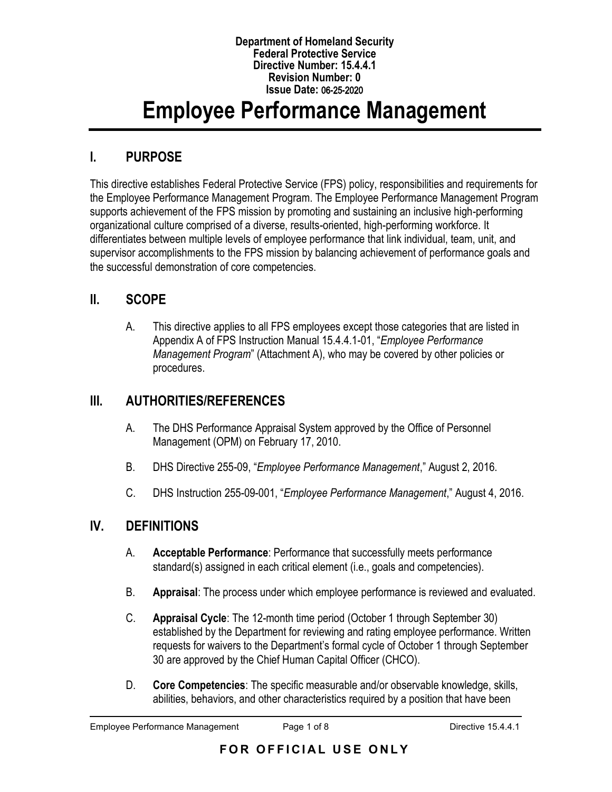#### **Department of Homeland Security Federal Protective Service Directive Number: 15.4.4.1 Revision Number: 0 Issue Date:** 06**-**25**-**2020

# **Employee Performance Management**

# **I. PURPOSE**

This directive establishes Federal Protective Service (FPS) policy, responsibilities and requirements for the Employee Performance Management Program. The Employee Performance Management Program supports achievement of the FPS mission by promoting and sustaining an inclusive high-performing organizational culture comprised of a diverse, results-oriented, high-performing workforce. It differentiates between multiple levels of employee performance that link individual, team, unit, and supervisor accomplishments to the FPS mission by balancing achievement of performance goals and the successful demonstration of core competencies.

# **II. SCOPE**

A. This directive applies to all FPS employees except those categories that are listed in Appendix A of FPS Instruction Manual 15.4.4.1-01, "*Employee Performance Management Program*" (Attachment A), who may be covered by other policies or procedures.

# **III. AUTHORITIES/REFERENCES**

- A. The DHS Performance Appraisal System approved by the Office of Personnel Management (OPM) on February 17, 2010.
- B. DHS Directive 255-09, "*Employee Performance Management*," August 2, 2016.
- C. DHS Instruction 255-09-001, "*Employee Performance Management*," August 4, 2016.

# **IV. DEFINITIONS**

- A. **Acceptable Performance**: Performance that successfully meets performance standard(s) assigned in each critical element (i.e., goals and competencies).
- B. **Appraisal**: The process under which employee performance is reviewed and evaluated.
- C. **Appraisal Cycle**: The 12-month time period (October 1 through September 30) established by the Department for reviewing and rating employee performance. Written requests for waivers to the Department's formal cycle of October 1 through September 30 are approved by the Chief Human Capital Officer (CHCO).
- D. **Core Competencies**: The specific measurable and/or observable knowledge, skills, abilities, behaviors, and other characteristics required by a position that have been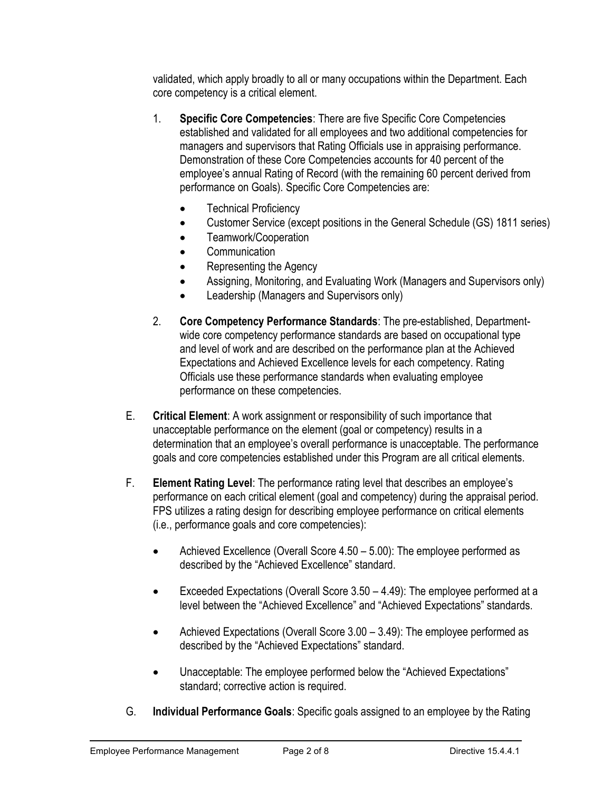validated, which apply broadly to all or many occupations within the Department. Each core competency is a critical element.

- 1. **Specific Core Competencies**: There are five Specific Core Competencies established and validated for all employees and two additional competencies for managers and supervisors that Rating Officials use in appraising performance. Demonstration of these Core Competencies accounts for 40 percent of the employee's annual Rating of Record (with the remaining 60 percent derived from performance on Goals). Specific Core Competencies are:
	- Technical Proficiency
	- Customer Service (except positions in the General Schedule (GS) 1811 series)
	- Teamwork/Cooperation
	- Communication
	- Representing the Agency
	- Assigning, Monitoring, and Evaluating Work (Managers and Supervisors only)
	- Leadership (Managers and Supervisors only)
- 2. **Core Competency Performance Standards**: The pre-established, Departmentwide core competency performance standards are based on occupational type and level of work and are described on the performance plan at the Achieved Expectations and Achieved Excellence levels for each competency. Rating Officials use these performance standards when evaluating employee performance on these competencies.
- E. **Critical Element**: A work assignment or responsibility of such importance that unacceptable performance on the element (goal or competency) results in a determination that an employee's overall performance is unacceptable. The performance goals and core competencies established under this Program are all critical elements.
- F. **Element Rating Level**: The performance rating level that describes an employee's performance on each critical element (goal and competency) during the appraisal period. FPS utilizes a rating design for describing employee performance on critical elements (i.e., performance goals and core competencies):
	- Achieved Excellence (Overall Score 4.50 5.00): The employee performed as described by the "Achieved Excellence" standard.
	- Exceeded Expectations (Overall Score 3.50 4.49): The employee performed at a level between the "Achieved Excellence" and "Achieved Expectations" standards.
	- Achieved Expectations (Overall Score 3.00 3.49): The employee performed as described by the "Achieved Expectations" standard.
	- Unacceptable: The employee performed below the "Achieved Expectations" standard; corrective action is required.
- G. **Individual Performance Goals**: Specific goals assigned to an employee by the Rating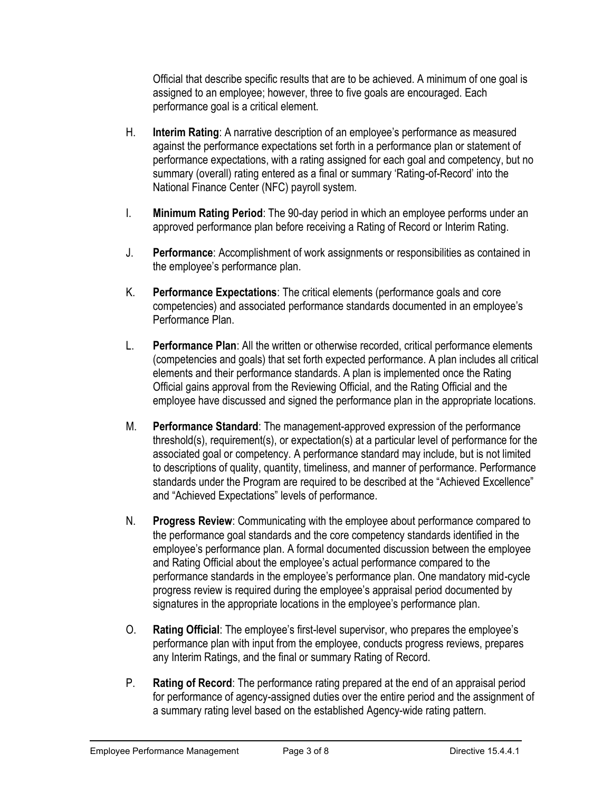Official that describe specific results that are to be achieved. A minimum of one goal is assigned to an employee; however, three to five goals are encouraged. Each performance goal is a critical element.

- H. **Interim Rating**: A narrative description of an employee's performance as measured against the performance expectations set forth in a performance plan or statement of performance expectations, with a rating assigned for each goal and competency, but no summary (overall) rating entered as a final or summary 'Rating-of-Record' into the National Finance Center (NFC) payroll system.
- I. **Minimum Rating Period**: The 90-day period in which an employee performs under an approved performance plan before receiving a Rating of Record or Interim Rating.
- J. **Performance**: Accomplishment of work assignments or responsibilities as contained in the employee's performance plan.
- K. **Performance Expectations**: The critical elements (performance goals and core competencies) and associated performance standards documented in an employee's Performance Plan.
- L. **Performance Plan**: All the written or otherwise recorded, critical performance elements (competencies and goals) that set forth expected performance. A plan includes all critical elements and their performance standards. A plan is implemented once the Rating Official gains approval from the Reviewing Official, and the Rating Official and the employee have discussed and signed the performance plan in the appropriate locations.
- M. **Performance Standard**: The management-approved expression of the performance threshold(s), requirement(s), or expectation(s) at a particular level of performance for the associated goal or competency. A performance standard may include, but is not limited to descriptions of quality, quantity, timeliness, and manner of performance. Performance standards under the Program are required to be described at the "Achieved Excellence" and "Achieved Expectations" levels of performance.
- N. **Progress Review**: Communicating with the employee about performance compared to the performance goal standards and the core competency standards identified in the employee's performance plan. A formal documented discussion between the employee and Rating Official about the employee's actual performance compared to the performance standards in the employee's performance plan. One mandatory mid-cycle progress review is required during the employee's appraisal period documented by signatures in the appropriate locations in the employee's performance plan.
- O. **Rating Official**: The employee's first-level supervisor, who prepares the employee's performance plan with input from the employee, conducts progress reviews, prepares any Interim Ratings, and the final or summary Rating of Record.
- P. **Rating of Record**: The performance rating prepared at the end of an appraisal period for performance of agency-assigned duties over the entire period and the assignment of a summary rating level based on the established Agency-wide rating pattern.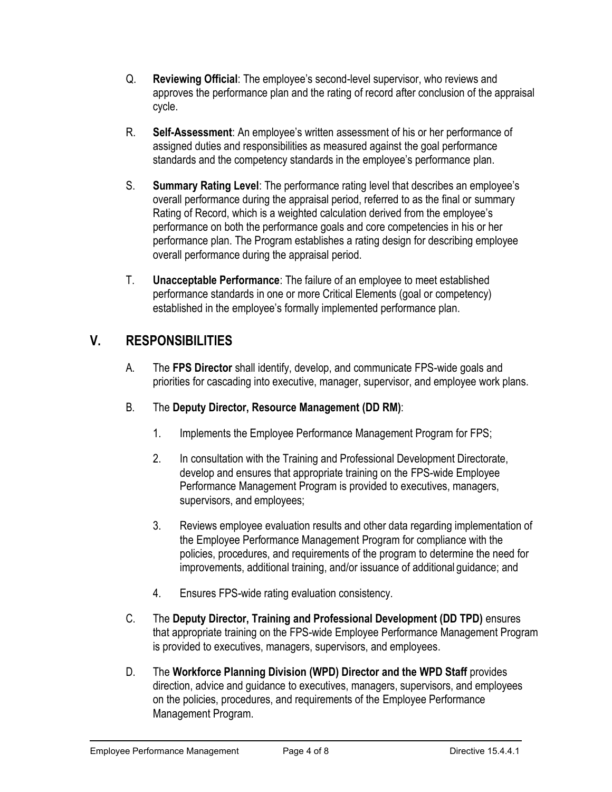- Q. **Reviewing Official**: The employee's second-level supervisor, who reviews and approves the performance plan and the rating of record after conclusion of the appraisal cycle.
- R. **Self-Assessment**: An employee's written assessment of his or her performance of assigned duties and responsibilities as measured against the goal performance standards and the competency standards in the employee's performance plan.
- S. **Summary Rating Level**: The performance rating level that describes an employee's overall performance during the appraisal period, referred to as the final or summary Rating of Record, which is a weighted calculation derived from the employee's performance on both the performance goals and core competencies in his or her performance plan. The Program establishes a rating design for describing employee overall performance during the appraisal period.
- T. **Unacceptable Performance**: The failure of an employee to meet established performance standards in one or more Critical Elements (goal or competency) established in the employee's formally implemented performance plan.

# **V. RESPONSIBILITIES**

- A. The **FPS Director** shall identify, develop, and communicate FPS-wide goals and priorities for cascading into executive, manager, supervisor, and employee work plans.
- B. The **Deputy Director, Resource Management (DD RM)**:
	- 1. Implements the Employee Performance Management Program for FPS;
	- 2. In consultation with the Training and Professional Development Directorate, develop and ensures that appropriate training on the FPS-wide Employee Performance Management Program is provided to executives, managers, supervisors, and employees;
	- 3. Reviews employee evaluation results and other data regarding implementation of the Employee Performance Management Program for compliance with the policies, procedures, and requirements of the program to determine the need for improvements, additional training, and/or issuance of additional guidance; and
	- 4. Ensures FPS-wide rating evaluation consistency.
- C. The **Deputy Director, Training and Professional Development (DD TPD)** ensures that appropriate training on the FPS-wide Employee Performance Management Program is provided to executives, managers, supervisors, and employees.
- D. The **Workforce Planning Division (WPD) Director and the WPD Staff** provides direction, advice and guidance to executives, managers, supervisors, and employees on the policies, procedures, and requirements of the Employee Performance Management Program.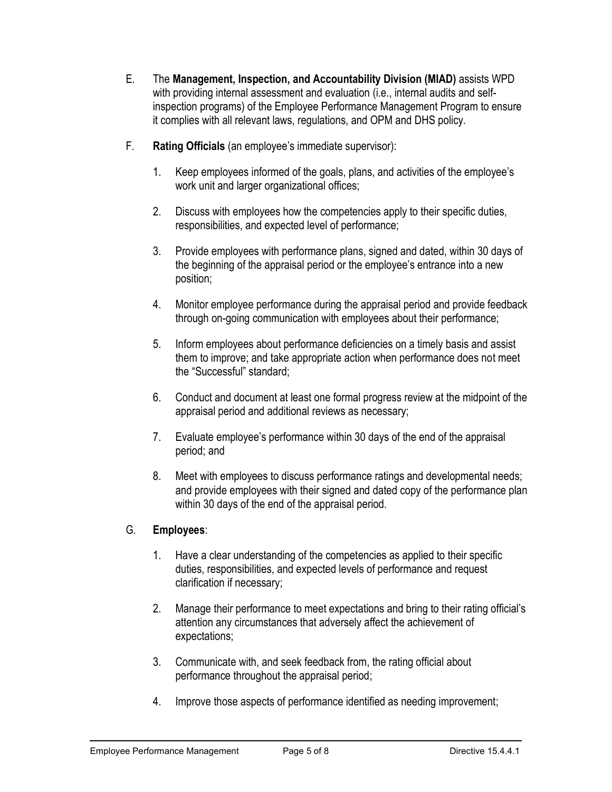- E. The **Management, Inspection, and Accountability Division (MIAD)** assists WPD with providing internal assessment and evaluation (i.e., internal audits and selfinspection programs) of the Employee Performance Management Program to ensure it complies with all relevant laws, regulations, and OPM and DHS policy.
- F. **Rating Officials** (an employee's immediate supervisor):
	- 1. Keep employees informed of the goals, plans, and activities of the employee's work unit and larger organizational offices;
	- 2. Discuss with employees how the competencies apply to their specific duties, responsibilities, and expected level of performance;
	- 3. Provide employees with performance plans, signed and dated, within 30 days of the beginning of the appraisal period or the employee's entrance into a new position;
	- 4. Monitor employee performance during the appraisal period and provide feedback through on-going communication with employees about their performance;
	- 5. Inform employees about performance deficiencies on a timely basis and assist them to improve; and take appropriate action when performance does not meet the "Successful" standard;
	- 6. Conduct and document at least one formal progress review at the midpoint of the appraisal period and additional reviews as necessary;
	- 7. Evaluate employee's performance within 30 days of the end of the appraisal period; and
	- 8. Meet with employees to discuss performance ratings and developmental needs; and provide employees with their signed and dated copy of the performance plan within 30 days of the end of the appraisal period.

## G. **Employees**:

- 1. Have a clear understanding of the competencies as applied to their specific duties, responsibilities, and expected levels of performance and request clarification if necessary;
- 2. Manage their performance to meet expectations and bring to their rating official's attention any circumstances that adversely affect the achievement of expectations;
- 3. Communicate with, and seek feedback from, the rating official about performance throughout the appraisal period;
- 4. Improve those aspects of performance identified as needing improvement;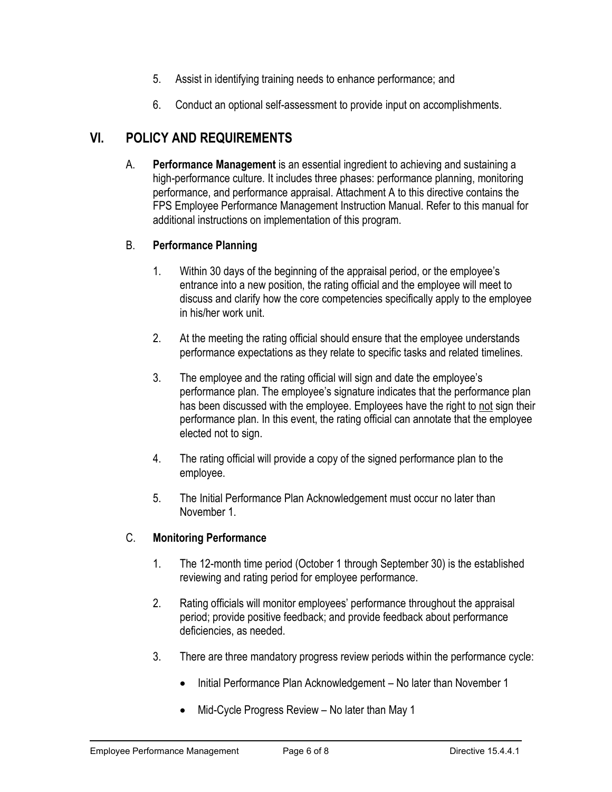- 5. Assist in identifying training needs to enhance performance; and
- 6. Conduct an optional self-assessment to provide input on accomplishments.

# **VI. POLICY AND REQUIREMENTS**

A. **Performance Management** is an essential ingredient to achieving and sustaining a high-performance culture. It includes three phases: performance planning, monitoring performance, and performance appraisal. Attachment A to this directive contains the FPS Employee Performance Management Instruction Manual. Refer to this manual for additional instructions on implementation of this program.

## B. **Performance Planning**

- 1. Within 30 days of the beginning of the appraisal period, or the employee's entrance into a new position, the rating official and the employee will meet to discuss and clarify how the core competencies specifically apply to the employee in his/her work unit.
- 2. At the meeting the rating official should ensure that the employee understands performance expectations as they relate to specific tasks and related timelines.
- 3. The employee and the rating official will sign and date the employee's performance plan. The employee's signature indicates that the performance plan has been discussed with the employee. Employees have the right to not sign their performance plan. In this event, the rating official can annotate that the employee elected not to sign.
- 4. The rating official will provide a copy of the signed performance plan to the employee.
- 5. The Initial Performance Plan Acknowledgement must occur no later than November 1.

## C. **Monitoring Performance**

- 1. The 12-month time period (October 1 through September 30) is the established reviewing and rating period for employee performance.
- 2. Rating officials will monitor employees' performance throughout the appraisal period; provide positive feedback; and provide feedback about performance deficiencies, as needed.
- 3. There are three mandatory progress review periods within the performance cycle:
	- Initial Performance Plan Acknowledgement No later than November 1
	- Mid-Cycle Progress Review No later than May 1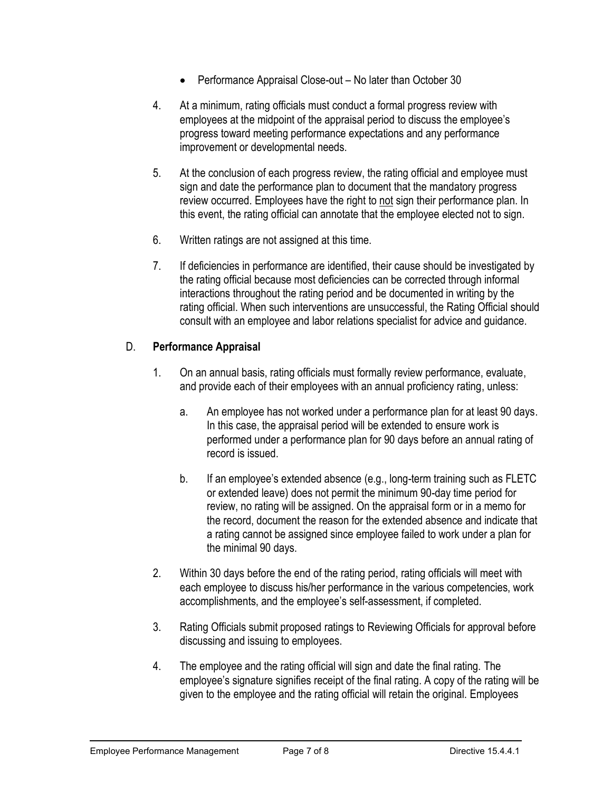- Performance Appraisal Close-out No later than October 30
- 4. At a minimum, rating officials must conduct a formal progress review with employees at the midpoint of the appraisal period to discuss the employee's progress toward meeting performance expectations and any performance improvement or developmental needs.
- 5. At the conclusion of each progress review, the rating official and employee must sign and date the performance plan to document that the mandatory progress review occurred. Employees have the right to not sign their performance plan. In this event, the rating official can annotate that the employee elected not to sign.
- 6. Written ratings are not assigned at this time.
- 7. If deficiencies in performance are identified, their cause should be investigated by the rating official because most deficiencies can be corrected through informal interactions throughout the rating period and be documented in writing by the rating official. When such interventions are unsuccessful, the Rating Official should consult with an employee and labor relations specialist for advice and guidance.

## D. **Performance Appraisal**

- 1. On an annual basis, rating officials must formally review performance, evaluate, and provide each of their employees with an annual proficiency rating, unless:
	- a. An employee has not worked under a performance plan for at least 90 days. In this case, the appraisal period will be extended to ensure work is performed under a performance plan for 90 days before an annual rating of record is issued.
	- b. If an employee's extended absence (e.g., long-term training such as FLETC or extended leave) does not permit the minimum 90-day time period for review, no rating will be assigned. On the appraisal form or in a memo for the record, document the reason for the extended absence and indicate that a rating cannot be assigned since employee failed to work under a plan for the minimal 90 days.
- 2. Within 30 days before the end of the rating period, rating officials will meet with each employee to discuss his/her performance in the various competencies, work accomplishments, and the employee's self-assessment, if completed.
- 3. Rating Officials submit proposed ratings to Reviewing Officials for approval before discussing and issuing to employees.
- 4. The employee and the rating official will sign and date the final rating. The employee's signature signifies receipt of the final rating. A copy of the rating will be given to the employee and the rating official will retain the original. Employees